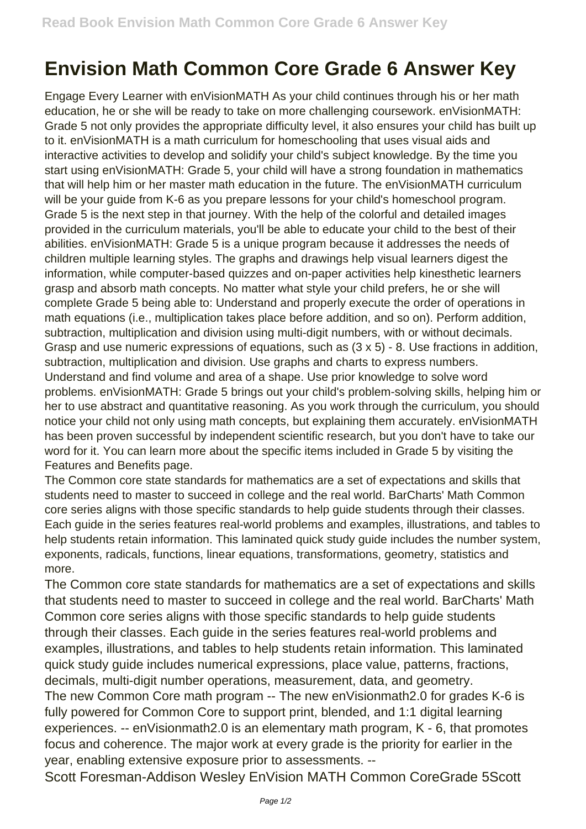## **Envision Math Common Core Grade 6 Answer Key**

Engage Every Learner with enVisionMATH As your child continues through his or her math education, he or she will be ready to take on more challenging coursework. enVisionMATH: Grade 5 not only provides the appropriate difficulty level, it also ensures your child has built up to it. enVisionMATH is a math curriculum for homeschooling that uses visual aids and interactive activities to develop and solidify your child's subject knowledge. By the time you start using enVisionMATH: Grade 5, your child will have a strong foundation in mathematics that will help him or her master math education in the future. The enVisionMATH curriculum will be your guide from K-6 as you prepare lessons for your child's homeschool program. Grade 5 is the next step in that journey. With the help of the colorful and detailed images provided in the curriculum materials, you'll be able to educate your child to the best of their abilities. enVisionMATH: Grade 5 is a unique program because it addresses the needs of children multiple learning styles. The graphs and drawings help visual learners digest the information, while computer-based quizzes and on-paper activities help kinesthetic learners grasp and absorb math concepts. No matter what style your child prefers, he or she will complete Grade 5 being able to: Understand and properly execute the order of operations in math equations (i.e., multiplication takes place before addition, and so on). Perform addition, subtraction, multiplication and division using multi-digit numbers, with or without decimals. Grasp and use numeric expressions of equations, such as (3 x 5) - 8. Use fractions in addition, subtraction, multiplication and division. Use graphs and charts to express numbers. Understand and find volume and area of a shape. Use prior knowledge to solve word problems. enVisionMATH: Grade 5 brings out your child's problem-solving skills, helping him or her to use abstract and quantitative reasoning. As you work through the curriculum, you should notice your child not only using math concepts, but explaining them accurately. enVisionMATH has been proven successful by independent scientific research, but you don't have to take our word for it. You can learn more about the specific items included in Grade 5 by visiting the Features and Benefits page.

The Common core state standards for mathematics are a set of expectations and skills that students need to master to succeed in college and the real world. BarCharts' Math Common core series aligns with those specific standards to help guide students through their classes. Each guide in the series features real-world problems and examples, illustrations, and tables to help students retain information. This laminated quick study guide includes the number system, exponents, radicals, functions, linear equations, transformations, geometry, statistics and more.

The Common core state standards for mathematics are a set of expectations and skills that students need to master to succeed in college and the real world. BarCharts' Math Common core series aligns with those specific standards to help guide students through their classes. Each guide in the series features real-world problems and examples, illustrations, and tables to help students retain information. This laminated quick study guide includes numerical expressions, place value, patterns, fractions, decimals, multi-digit number operations, measurement, data, and geometry. The new Common Core math program -- The new enVisionmath2.0 for grades K-6 is fully powered for Common Core to support print, blended, and 1:1 digital learning experiences. -- enVisionmath2.0 is an elementary math program, K - 6, that promotes focus and coherence. The major work at every grade is the priority for earlier in the year, enabling extensive exposure prior to assessments. --

Scott Foresman-Addison Wesley EnVision MATH Common CoreGrade 5Scott